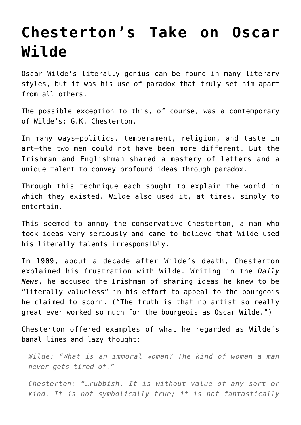## **[Chesterton's Take on Oscar](https://intellectualtakeout.org/2016/05/chestertons-take-on-oscar-wilde/) [Wilde](https://intellectualtakeout.org/2016/05/chestertons-take-on-oscar-wilde/)**

Oscar Wilde's literally genius can be found in many literary styles, but it was his use of paradox that truly set him apart from all others.

The possible exception to this, of course, was a contemporary of Wilde's: G.K. Chesterton.

In many ways—politics, temperament, religion, and taste in art—the two men could not have been more different. But the Irishman and Englishman shared a mastery of letters and a unique talent to convey profound ideas through paradox.

Through this technique each sought to explain the world in which they existed. Wilde also used it, at times, simply to entertain.

This seemed to annoy the conservative Chesterton, a man who took ideas very seriously and came to believe that Wilde used his literally talents irresponsibly.

In 1909, about a decade after Wilde's death, Chesterton explained his frustration with Wilde. Writing in the *Daily News*, he accused the Irishman of sharing ideas he knew to be "literally valueless" in his effort to appeal to the bourgeois he claimed to scorn. ("The truth is that no artist so really great ever worked so much for the bourgeois as Oscar Wilde.")

Chesterton offered examples of what he regarded as Wilde's banal lines and lazy thought:

*Wilde: "What is an immoral woman? The kind of woman a man never gets tired of."*

*Chesterton: "…rubbish. It is without value of any sort or kind. It is not symbolically true; it is not fantastically*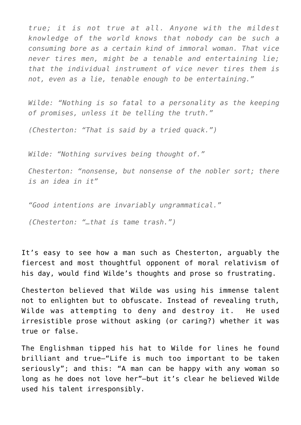*true; it is not true at all. Anyone with the mildest knowledge of the world knows that nobody can be such a consuming bore as a certain kind of immoral woman. That vice never tires men, might be a tenable and entertaining lie; that the individual instrument of vice never tires them is not, even as a lie, tenable enough to be entertaining."*

*Wilde: "Nothing is so fatal to a personality as the keeping of promises, unless it be telling the truth."*

*(Chesterton: "That is said by a tried quack.")*

*Wilde: "Nothing survives being thought of."*

*Chesterton: "nonsense, but nonsense of the nobler sort; there is an idea in it"*

*"Good intentions are invariably ungrammatical."*

*(Chesterton: "…that is tame trash.")*

It's easy to see how a man such as Chesterton, arguably the fiercest and most thoughtful opponent of moral relativism of his day, would find Wilde's thoughts and prose so frustrating.

Chesterton believed that Wilde was using his immense talent not to enlighten but to obfuscate. Instead of revealing truth, Wilde was attempting to deny and destroy it. He used irresistible prose without asking (or caring?) whether it was true or false.

The Englishman tipped his hat to Wilde for lines he found brilliant and true—"Life is much too important to be taken seriously"; and this: "A man can be happy with any woman so long as he does not love her"—but it's clear he believed Wilde used his talent irresponsibly.